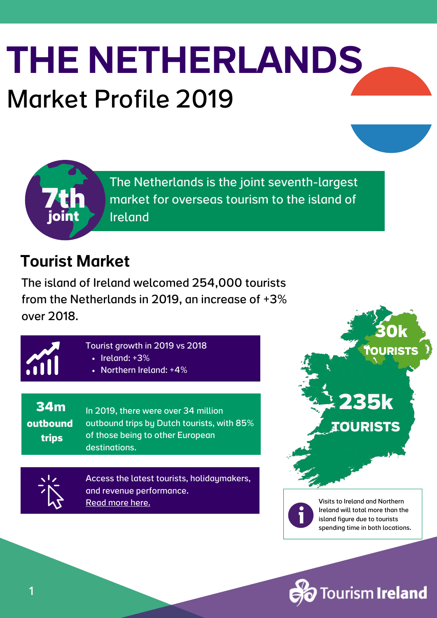# Market Profile 2019 THE NETHERLANDS

The Netherlands is the joint seventh-largest market for overseas tourism to the island of Ireland

#### Tourist Market

**7th**

**joint**

The island of Ireland welcomed 254,000 tourists from the Netherlands in 2019, an increase of +3% over 2018.



- Tourist growth in 2019 vs 2018
	- $\cdot$  Ireland: +3%
	- Northern Ireland: +4%

**34m outbound trips**

In 2019, there were over 34 million outbound trips by Dutch tourists, with 85% of those being to other European destinations.

Access the latest tourists, [holidaymakers,](https://www.tourismireland.com/Research/Visitor-Facts-Figures) and revenue performance[.](https://www.tourismireland.com/Research/Visitor-Facts-Figures) [Read](https://www.tourismireland.com/Research/Visitor-Facts-Figures) more here.

Visits to Ireland and Northern Ireland will total more than the island figure due to tourists spending time in both locations.

**Tourism Ireland** 

**235k**

**30k**

**TOURISTS**

**TOURISTS**

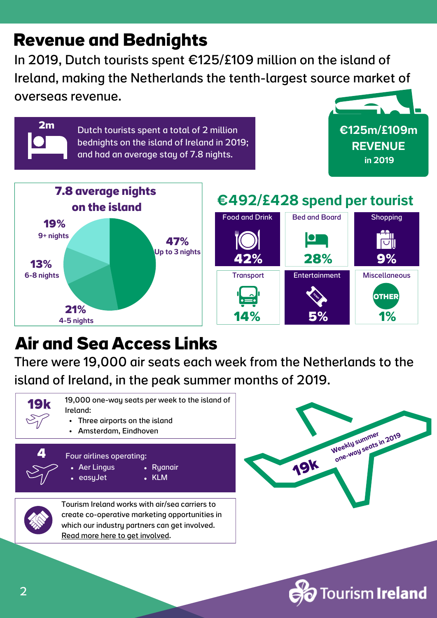#### **Revenue and Bednights**

**2m**

In 2019, Dutch tourists spent €125/£109 million on the island of Ireland, making the Netherlands the tenth-largest source market of overseas revenue.

> Dutch tourists spent a total of 2 million bednights on the island of Ireland in 2019; and had an average stay of 7.8 nights.





#### €492/£428 spend per tourist



### **Air and Sea Access Links**

There were 19,000 air seats each week from the Netherlands to the island of Ireland, in the peak summer months of 2019.





**Tourism Ireland**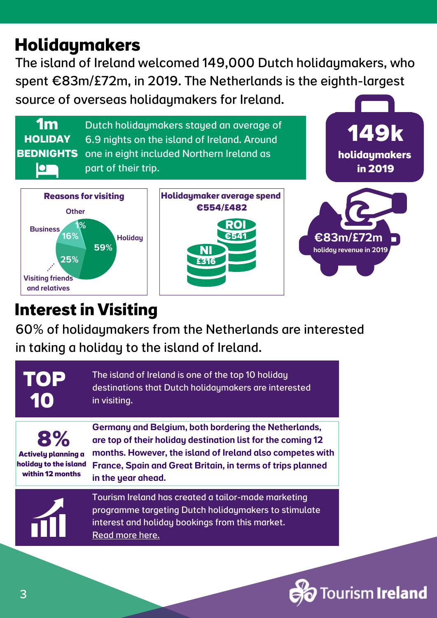### **Holidaymakers**

The island of Ireland welcomed 149,000 Dutch holidaymakers, who spent €83m/£72m, in 2019. The Netherlands is the eighth-largest source of overseas holidaymakers for Ireland.

**1m** Dutch holidaymakers stayed an average of **HOLIDAY** 6.9 nights on the island of Ireland. Around **BEDNIGHTS**one in eight included Northern Ireland as part of their trip. **IOT** 







**149k**

#### **Interest in Visiting**

60% of holidaymakers from the Netherlands are interested in taking a holiday to the island of Ireland.

Germany and Belgium, both bordering the Netherlands, The island of Ireland is one of the top 10 holiday destinations that Dutch holidaymakers are interested in visiting. **8% 10 TOP Actively planning a**

**holiday to the island within 12 months**

are top of their holiday destination list for the coming 12 months. However, the island of Ireland also competes with France, Spain and Great Britain, in terms of trips planned in the year ahead.



Tourism Ireland has created a tailor-made marketing programme targeting Dutch [holidaymakers](https://www.tourismirelandindustryopportunities.com/overseas-markets/europe/the-netherlands-belgium) to stimulate interest and holiday bookings from this market. Read [more](https://www.tourismirelandindustryopportunities.com/overseas-markets/europe/the-netherlands-belgium) here.

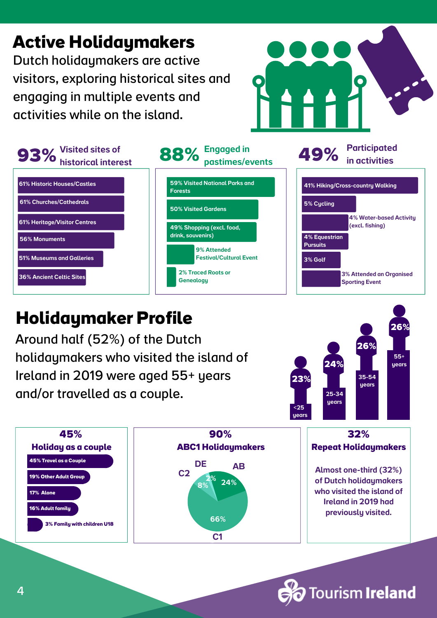

#### **Holidaymaker Profile**

Around half (52%) of the Dutch holidaymakers who visited the island of Ireland in 2019 were aged 55+ years and/or travelled as a couple.





**Tourism Ireland**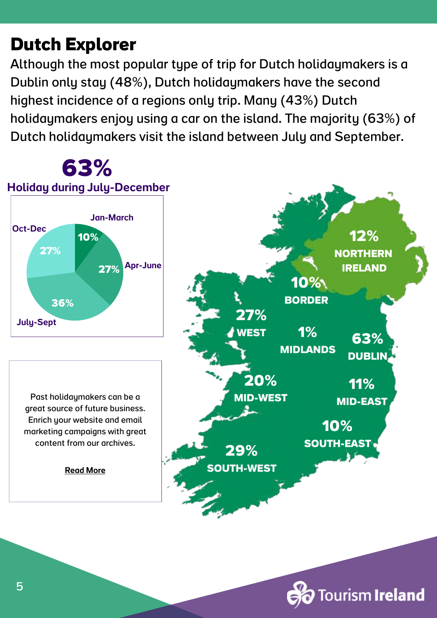### **Dutch Explorer**

Although the most popular type of trip for Dutch holidaymakers is a Dublin only stay (48%), Dutch holidaymakers have the second highest incidence of a regions only trip. Many (43%) Dutch holidaymakers enjoy using a car on the island. The majority (63%) of Dutch holidaymakers visit the island between July and September.